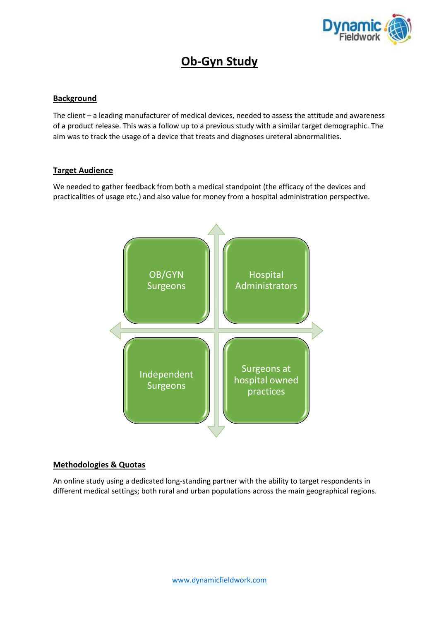

# **Ob-Gyn Study**

### **Background**

The client – a leading manufacturer of medical devices, needed to assess the attitude and awareness of a product release. This was a follow up to a previous study with a similar target demographic. The aim was to track the usage of a device that treats and diagnoses ureteral abnormalities.

#### **Target Audience**

We needed to gather feedback from both a medical standpoint (the efficacy of the devices and practicalities of usage etc.) and also value for money from a hospital administration perspective.



#### **Methodologies & Quotas**

An online study using a dedicated long-standing partner with the ability to target respondents in different medical settings; both rural and urban populations across the main geographical regions.